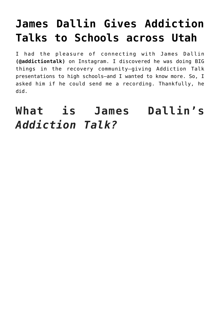# **[James Dallin Gives Addiction](https://danielbrooksmoore.com/nowsthetime/2019/07/01/james-dallin-gives-addiction-talks-to-schools-across-utah/) [Talks to Schools across Utah](https://danielbrooksmoore.com/nowsthetime/2019/07/01/james-dallin-gives-addiction-talks-to-schools-across-utah/)**

I had the pleasure of connecting with James Dallin **(@addictiontalk)** on Instagram. I discovered he was doing BIG things in the recovery community—giving Addiction Talk presentations to high schools—and I wanted to know more. So, I asked him if he could send me a recording. Thankfully, he did.

**What is James Dallin's** *Addiction Talk?*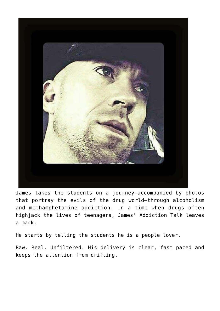

James takes the students on a journey—accompanied by photos that portray the evils of the drug world—through alcoholism and methamphetamine addiction. In a time when drugs often highjack the lives of teenagers, James' Addiction Talk leaves a mark.

He starts by telling the students he is a people lover.

Raw. Real. Unfiltered. His delivery is clear, fast paced and keeps the attention from drifting.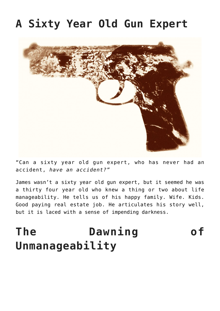## **A Sixty Year Old Gun Expert**



"Can a sixty year old gun expert, who has never had an accident, *have an accident?"*

James wasn't a sixty year old gun expert, but it seemed he was a thirty four year old who knew a thing or two about life manageability. He tells us of his happy family. Wife. Kids. Good paying real estate job. He articulates his story well, but it is laced with a sense of impending darkness.

# **The Dawning of Unmanageability**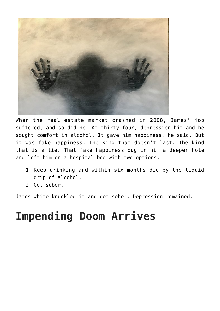

When the real estate market crashed in 2008, James' job suffered, and so did he. At thirty four, depression hit and he sought comfort in alcohol. It gave him happiness, he said. But it was fake happiness. The kind that doesn't last. The kind that is a lie. That fake happiness dug in him a deeper hole and left him on a hospital bed with two options.

- 1. Keep drinking and within six months die by the liquid grip of alcohol.
- 2. Get sober.

James white knuckled it and got sober. Depression remained.

# **Impending Doom Arrives**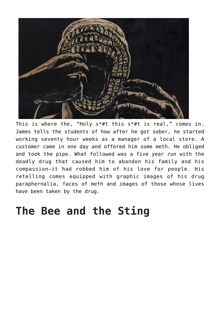

This is where the, "Holy  $s^* \# t$  this  $s^* \# t$  is real," comes in. James tells the students of how after he got sober, he started working seventy hour weeks as a manager of a local store. A customer came in one day and offered him some meth. He obliged and took the pipe. What followed was a five year run with the deadly drug that caused him to abandon his family and his compassion—it had robbed him of his love for people. His retelling comes equipped with graphic images of his drug paraphernalia, faces of meth and images of those whose lives have been taken by the drug.

#### **The Bee and the Sting**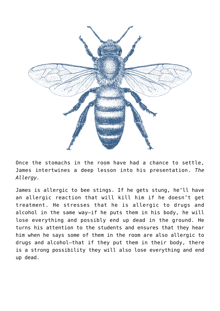

Once the stomachs in the room have had a chance to settle, James intertwines a deep lesson into his presentation. *The Allergy.* 

James is allergic to bee stings. If he gets stung, he'll have an allergic reaction that will kill him if he doesn't get treatment. He stresses that he is allergic to drugs and alcohol in the same way—if he puts them in his body, he will lose everything and possibly end up dead in the ground. He turns his attention to the students and ensures that they hear him when he says some of them in the room are also allergic to drugs and alcohol—that if they put them in their body, there is a strong possibility they will also lose everything and end up dead.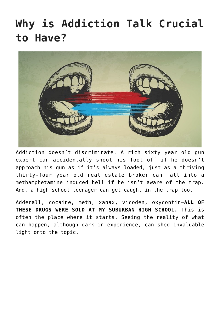# **Why is Addiction Talk Crucial to Have?**



Addiction doesn't discriminate. A rich sixty year old gun expert can accidentally shoot his foot off if he doesn't approach his gun as if it's always loaded, just as a thriving thirty-four year old real estate broker can fall into a methamphetamine induced hell if he isn't aware of the trap. And, a high school teenager can get caught in the trap too.

Adderall, cocaine, meth, xanax, vicoden, oxycontin—**ALL OF THESE DRUGS WERE SOLD AT MY SUBURBAN HIGH SCHOOL.** This is often the place where it starts. Seeing the reality of what can happen, although dark in experience, can shed invaluable light onto the topic.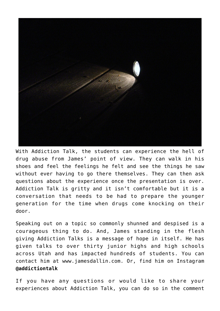

With Addiction Talk, the students can experience the hell of drug abuse from James' point of view. They can walk in his shoes and feel the feelings he felt and see the things he saw without ever having to go there themselves. They can then ask questions about the experience once the presentation is over. Addiction Talk is gritty and it isn't comfortable but it is a conversation that needs to be had to prepare the younger generation for the time when drugs come knocking on their door.

Speaking out on a topic so commonly shunned and despised is a courageous thing to do. And, James standing in the flesh giving Addiction Talks is a message of hope in itself. He has given talks to over thirty junior highs and high schools across Utah and has impacted hundreds of students. You can contact him at [www.jamesdallin.com.](http://www.jamesdallin.com/) Or, find him on Instagram **@addictiontalk**

If you have any questions or would like to share your experiences about Addiction Talk, you can do so in the comment